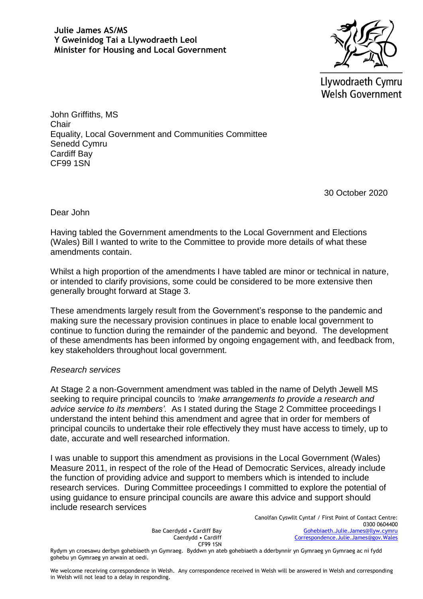

Llywodraeth Cymru **Welsh Government** 

John Griffiths, MS **Chair** Equality, Local Government and Communities Committee Senedd Cymru Cardiff Bay CF99 1SN

30 October 2020

Dear John

Having tabled the Government amendments to the Local Government and Elections (Wales) Bill I wanted to write to the Committee to provide more details of what these amendments contain.

Whilst a high proportion of the amendments I have tabled are minor or technical in nature, or intended to clarify provisions, some could be considered to be more extensive then generally brought forward at Stage 3.

These amendments largely result from the Government's response to the pandemic and making sure the necessary provision continues in place to enable local government to continue to function during the remainder of the pandemic and beyond. The development of these amendments has been informed by ongoing engagement with, and feedback from, key stakeholders throughout local government.

## *Research services*

At Stage 2 a non-Government amendment was tabled in the name of Delyth Jewell MS seeking to require principal councils to *'make arrangements to provide a research and advice service to its members'.* As I stated during the Stage 2 Committee proceedings I understand the intent behind this amendment and agree that in order for members of principal councils to undertake their role effectively they must have access to timely, up to date, accurate and well researched information.

I was unable to support this amendment as provisions in the Local Government (Wales) Measure 2011, in respect of the role of the Head of Democratic Services, already include the function of providing advice and support to members which is intended to include research services. During Committee proceedings I committed to explore the potential of using guidance to ensure principal councils are aware this advice and support should include research services

> Bae Caerdydd • Cardiff Bay Caerdydd • Cardiff CF99 1SN

Canolfan Cyswllt Cyntaf / First Point of Contact Centre: 0300 0604400 [Gohebiaeth.Julie.James@llyw.cymru](mailto:Gohebiaeth.Julie.James@llyw.cymru) [Correspondence.Julie.James@gov.Wales](mailto:Correspondence.Julie.James@gov.Wales)

Rydym yn croesawu derbyn gohebiaeth yn Gymraeg. Byddwn yn ateb gohebiaeth a dderbynnir yn Gymraeg yn Gymraeg ac ni fydd gohebu yn Gymraeg yn arwain at oedi.

We welcome receiving correspondence in Welsh. Any correspondence received in Welsh will be answered in Welsh and corresponding in Welsh will not lead to a delay in responding.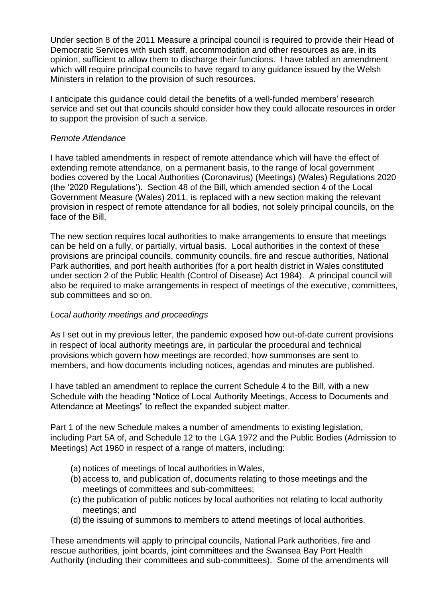Under section 8 of the 2011 Measure a principal council is required to provide their Head of Democratic Services with such staff, accommodation and other resources as are, in its opinion, sufficient to allow them to discharge their functions. I have tabled an amendment which will require principal councils to have regard to any guidance issued by the Welsh Ministers in relation to the provision of such resources.

I anticipate this guidance could detail the benefits of a well-funded members' research service and set out that councils should consider how they could allocate resources in order to support the provision of such a service.

# *Remote Attendance*

I have tabled amendments in respect of remote attendance which will have the effect of extending remote attendance, on a permanent basis, to the range of local government bodies covered by the Local Authorities (Coronavirus) (Meetings) (Wales) Regulations 2020 (the '2020 Regulations'). Section 48 of the Bill, which amended section 4 of the Local Government Measure (Wales) 2011, is replaced with a new section making the relevant provision in respect of remote attendance for all bodies, not solely principal councils, on the face of the Bill.

The new section requires local authorities to make arrangements to ensure that meetings can be held on a fully, or partially, virtual basis. Local authorities in the context of these provisions are principal councils, community councils, fire and rescue authorities, National Park authorities, and port health authorities (for a port health district in Wales constituted under section 2 of the Public Health (Control of Disease) Act 1984). A principal council will also be required to make arrangements in respect of meetings of the executive, committees, sub committees and so on.

# *Local authority meetings and proceedings*

As I set out in my previous letter, the pandemic exposed how out-of-date current provisions in respect of local authority meetings are, in particular the procedural and technical provisions which govern how meetings are recorded, how summonses are sent to members, and how documents including notices, agendas and minutes are published.

I have tabled an amendment to replace the current Schedule 4 to the Bill, with a new Schedule with the heading "Notice of Local Authority Meetings, Access to Documents and Attendance at Meetings" to reflect the expanded subject matter.

Part 1 of the new Schedule makes a number of amendments to existing legislation, including Part 5A of, and Schedule 12 to the LGA 1972 and the Public Bodies (Admission to Meetings) Act 1960 in respect of a range of matters, including:

- (a) notices of meetings of local authorities in Wales,
- (b) access to, and publication of, documents relating to those meetings and the meetings of committees and sub-committees;
- (c) the publication of public notices by local authorities not relating to local authority meetings; and
- (d) the issuing of summons to members to attend meetings of local authorities.

These amendments will apply to principal councils, National Park authorities, fire and rescue authorities, joint boards, joint committees and the Swansea Bay Port Health Authority (including their committees and sub-committees). Some of the amendments will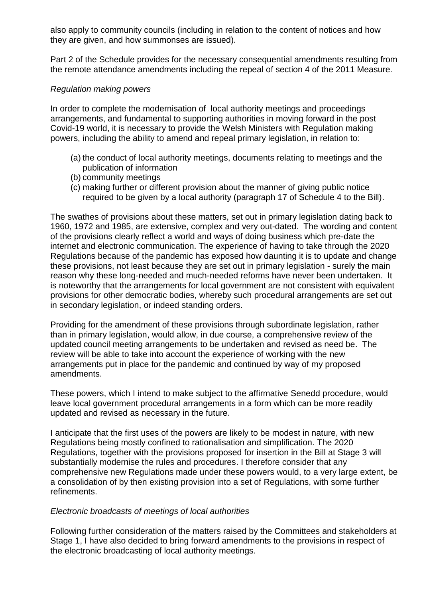also apply to community councils (including in relation to the content of notices and how they are given, and how summonses are issued).

Part 2 of the Schedule provides for the necessary consequential amendments resulting from the remote attendance amendments including the repeal of section 4 of the 2011 Measure.

# *Regulation making powers*

In order to complete the modernisation of local authority meetings and proceedings arrangements, and fundamental to supporting authorities in moving forward in the post Covid-19 world, it is necessary to provide the Welsh Ministers with Regulation making powers, including the ability to amend and repeal primary legislation, in relation to:

- (a) the conduct of local authority meetings, documents relating to meetings and the publication of information
- (b) community meetings
- (c) making further or different provision about the manner of giving public notice required to be given by a local authority (paragraph 17 of Schedule 4 to the Bill).

The swathes of provisions about these matters, set out in primary legislation dating back to 1960, 1972 and 1985, are extensive, complex and very out-dated. The wording and content of the provisions clearly reflect a world and ways of doing business which pre-date the internet and electronic communication. The experience of having to take through the 2020 Regulations because of the pandemic has exposed how daunting it is to update and change these provisions, not least because they are set out in primary legislation - surely the main reason why these long-needed and much-needed reforms have never been undertaken. It is noteworthy that the arrangements for local government are not consistent with equivalent provisions for other democratic bodies, whereby such procedural arrangements are set out in secondary legislation, or indeed standing orders.

Providing for the amendment of these provisions through subordinate legislation, rather than in primary legislation, would allow, in due course, a comprehensive review of the updated council meeting arrangements to be undertaken and revised as need be. The review will be able to take into account the experience of working with the new arrangements put in place for the pandemic and continued by way of my proposed amendments.

These powers, which I intend to make subject to the affirmative Senedd procedure, would leave local government procedural arrangements in a form which can be more readily updated and revised as necessary in the future.

I anticipate that the first uses of the powers are likely to be modest in nature, with new Regulations being mostly confined to rationalisation and simplification. The 2020 Regulations, together with the provisions proposed for insertion in the Bill at Stage 3 will substantially modernise the rules and procedures. I therefore consider that any comprehensive new Regulations made under these powers would, to a very large extent, be a consolidation of by then existing provision into a set of Regulations, with some further refinements.

## *Electronic broadcasts of meetings of local authorities*

Following further consideration of the matters raised by the Committees and stakeholders at Stage 1, I have also decided to bring forward amendments to the provisions in respect of the electronic broadcasting of local authority meetings.